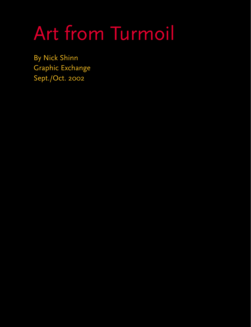## Art from Turmoil

By Nick Shinn Graphic Exchange Sept./Oct. 2002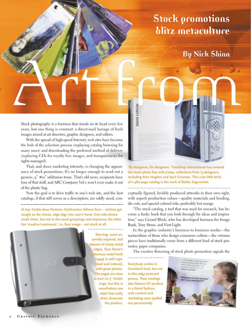## **Stock promotions blitz metaculture**

## **By Nick Shinn**

Stock photography is a business that stands on its head every few years, but one thing is constant: a direct-mail barrage of fresh images aimed at art directors, graphic designers, and editors.

With the spread of high-speed Internet, web sites have become the hub of the selection process (replacing catalog browsing for many users) and downloading the preferred method of delivery (replacing CDs for royalty free images, and transparencies for rights managed).

That, and sheer marketing intensity, is changing the appearance of stock promotions. It's no longer enough to send out a generic,  $q'' \times 12''$  utilitarian tome. That's old news, recipients have tons of that stuff, and *ABC Company Vol.x* won't even make it out of the plastic bag.

Now the goal is to drive traffic to one's web site, and the best catalogs, if that still serves as a description, are oddly sized, con-

**At top: Corbis does Pantone. Dysfunction follows form – stickies get caught as fan closes, edge digs into user's hand. One side shows small shots, but not in the usual groupings and sequence; the other has 'creative treatments', i.e. faux usage – not stock at all.** 



**sembly required, and beware of sharp metal edges. Tony Stone's notorious metal book** -------------------------**(1999) is well organized and indexed, with great photos. The pages are slow to turn on 3" binder rings, but this is nonetheless one objet that really does showcase the product.**



**'By designers, for designers.' FontShop International has entered the stock photo fray with** *f·stop,* **collections from 13 designers, including Rian Hughes and April Grieman. This cute little brick of a 480-page catalog is the work of Stefan Sagmeister.** 

ceptually figured, lavishly produced artworks in their own right, with superb production values—quality materials and binding, die cuts, and special colored inks, preferably hot orange.

"The stock catalog, a tool that was used for research, has become a funky book that you look through for ideas and inspiration," says Gerard Blink, who has developed business for Image Bank, Tony Stone, and First Light.

In the graphic industry's business to business media—the metaculture of those who design consumer culture—the virtuoso pieces have traditionally come from a different kind of stock promoter, paper companies.

The creative flowering of stock photo promotion signals the

**Everybody smiles in Comstock land, but not in this edgy postcard promo. Their catalogs also feature CD product in a literal fashion, with content and marketing uses spelled out persuasively.**

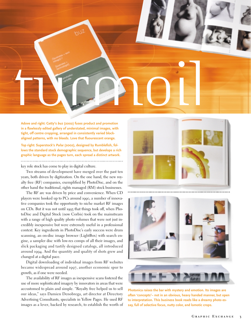

**Adove and right: Getty's** *buz* **(2002) fuses product and promotion in a flawlessly edited gallery of understated, minimal images, with tight, off centre cropping, arranged in consistently varied blockaligned patterns, with no bleeds. Love that fluourescent orange.** 

**Top right: Superstock's** *Pulse* **(2002), designed by Rumblefish, follows the standard stock demographic sequence, but develops a rich graphic language as the pages turn, each spread a distinct artwork.** 

key role stock has come to play in digital culture.

Two streams of development have merged over the past ten years, both driven by digitization. On the one hand, the new royalty free (RF) companies, exemplified by PhotoDisc, and on the other hand the traditional, rights managed (RM) stock businesses.

The RF arc was driven by price and convenience. When CD players were hooked up to PCs around 1990, a number of innovative companies took the opportunity to niche market RF images on CDs. But it was not until 1993 that things took off, when PhotoDisc and Digital Stock (now Corbis) took on the mainstream with a range of high quality photo volumes that were not just incredibly inexpensive but were extremely useful in a professional context. Key ingredients in PhotoDisc's early success were drum scanning, an on-disc image browser (LightBox) with search engine, a sampler disc with low-res comps of all their images, and slick packaging and tastily designed catalogs, all introduced around 1994. And the quantity and quality of shots grew and changed at a digital pace.

Digital downloading of individual images from RF websites became widespread around 1997, another economic spur to growth, as if one were needed.

The availability of RF images as inexpensive scans fostered the use of more sophisticated imagery by innovators in areas that were accustomed to plain and simple. "Royalty free helped us to sell our ideas," says Damien Denobrega, art director at Directory Advertising Consultants, specialists in Yellow Pages. He used RF images as a lever, backed by research, to establish the worth of





**Photonica raises the bar with mystery and emotion. Its images are often 'concepts'– not in an obvious, heavy handed manner, but open to interpretation. This business book reads like a dreamy photo essay, full of selective focus, nutty color, and lomotic crops.**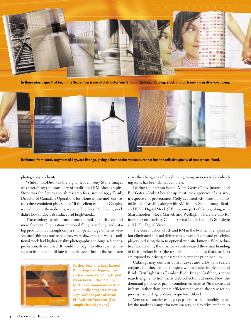

**In these nine pages that begin the September issue of distributor Veer's** *Visual Elements* **Catalog, stock photos frame a narrative love poem,**



**fashioned from barely augmented keyword listings, giving a form to the metaculture that has the reflexive quality of modern art. Word.**

photography to clients.

While PhotoDisc was the digital leader, Tony Stone Images was stretching the boundary of traditional RM photography. Stone was the first to abolish research fees, around 1994. Blink, Director of Canadian Operations for Stone in the mid-'90s, recalls their confident philosophy: "If the client called for Couples, we didn't send them dozens, we sent The Shot." Suddenly, stock didn't look so stock, its surface had brightened...

The catalogs, pardon me, resource books, got thicker and more frequent. Digitization improved filing, searching, and catalog production, although only a small percantage of items were scanned (this was one reason they were slow onto the web). Traditional stock had higher quality photography and huge selections, professionally searched. It would not begin to offer scanned images to its clients until late in the decade—but in the last three



**Yo, download this: huge layered Photoshop files. Topping their abstract series** *Datafunk,* **Digital Vision has launched** *Infinity,* **17 CD titles commissioned from multi-media designers. Pay to play: twice the price of normal RF. Available from Veer. (See samples in background.)**

years the changeover from shipping transparencies to downloading scans has been almost complete.

During the dotcom boom, Mark Getty (Getty Images) and Bill Gates (Corbis) bought up most stock agencies of any size, irrespective of provenance. Getty acquired RF innovators PhotoDisc and Artville, along with RM leaders Stone, Image Bank, and FPG. Digital Stock (RF) became part of Corbis, along with Sharpshooters, Stock Market, and Westlight. There are also RF indie players, such as Canada's First Light, Ireland's Stockbyte and U.K.'s Digital Vision.

The consolidation of RF and RM in the two major empires all but eliminated cultural differences between digital and pre-digital players, reducing them to optional web site buttons. With reductive functionality, the massive websites erased the visual branding of their product lines (the assimilated companies) that searchers are exposed to, driving out serendipity into the print medium.

Catalogs may contain both indexes and CDs with search engines, but they cannot compete with websites for Search and Find. FirstLight uses RandomEye's Image Grabber, a meta search engine, to troll many web collections at once. Now, the dominant purpose of print promotion emerges as "to inspire and inform, rather than create efficiency through the transaction process," according to Veer's Jacqueline Osland.

Veer uses a smaller catalog (52 pages), mailed monthly, to satisfy the market's hunger for new imagery, and to drive traffic to its